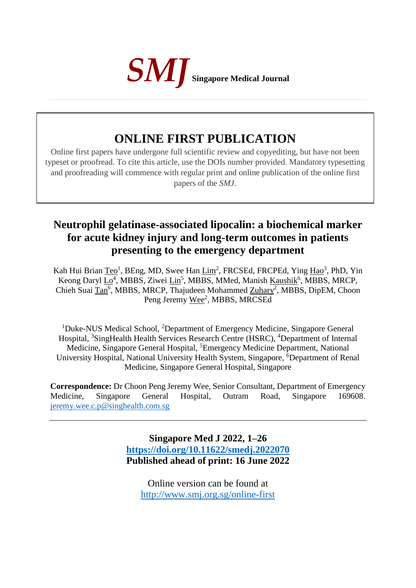

# **ONLINE FIRST PUBLICATION**

Online first papers have undergone full scientific review and copyediting, but have not been typeset or proofread. To cite this article, use the DOIs number provided. Mandatory typesetting and proofreading will commence with regular print and online publication of the online first papers of the *SMJ*.

# **Neutrophil gelatinase-associated lipocalin: a biochemical marker for acute kidney injury and long-term outcomes in patients presenting to the emergency department**

Kah Hui Brian Teo<sup>1</sup>, BEng, MD, Swee Han Lim<sup>2</sup>, FRCSEd, FRCPEd, Ying Hao<sup>3</sup>, PhD, Yin Keong Daryl Lo<sup>4</sup>, MBBS, Ziwei Lin<sup>5</sup>, MBBS, MMed, Manish Kaushik<sup>6</sup>, MBBS, MRCP, Chieh Suai Tan<sup>6</sup>, MBBS, MRCP, Thajudeen Mohammed Zuhary<sup>2</sup>, MBBS, DipEM, Choon Peng Jeremy Wee<sup>2</sup>, MBBS, MRCSEd

<sup>1</sup>Duke-NUS Medical School, <sup>2</sup>Department of Emergency Medicine, Singapore General Hospital, <sup>3</sup>SingHealth Health Services Research Centre (HSRC), <sup>4</sup>Department of Internal Medicine, Singapore General Hospital, <sup>5</sup>Emergency Medicine Department, National University Hospital, National University Health System, Singapore, <sup>6</sup>Department of Renal Medicine, Singapore General Hospital, Singapore

**Correspondence:** Dr Choon Peng Jeremy Wee, Senior Consultant, Department of Emergency Medicine, Singapore General Hospital, Outram Road, Singapore 169608. [jeremy.wee.c.p@singhealth.com.sg](mailto:jeremy.wee.c.p@singhealth.com.sg)

> **Singapore Med J 2022, 1–26 <https://doi.org/10.11622/smedj.2022070> Published ahead of print: 16 June 2022**

Online version can be found at <http://www.smj.org.sg/online-first>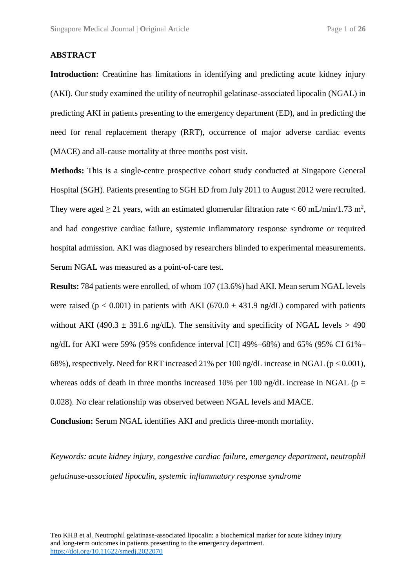#### **ABSTRACT**

**Introduction:** Creatinine has limitations in identifying and predicting acute kidney injury (AKI). Our study examined the utility of neutrophil gelatinase-associated lipocalin (NGAL) in predicting AKI in patients presenting to the emergency department (ED), and in predicting the need for renal replacement therapy (RRT), occurrence of major adverse cardiac events (MACE) and all-cause mortality at three months post visit.

**Methods:** This is a single-centre prospective cohort study conducted at Singapore General Hospital (SGH). Patients presenting to SGH ED from July 2011 to August 2012 were recruited. They were aged  $\geq$  21 years, with an estimated glomerular filtration rate < 60 mL/min/1.73 m<sup>2</sup>, and had congestive cardiac failure, systemic inflammatory response syndrome or required hospital admission. AKI was diagnosed by researchers blinded to experimental measurements. Serum NGAL was measured as a point-of-care test.

**Results:** 784 patients were enrolled, of whom 107 (13.6%) had AKI. Mean serum NGAL levels were raised ( $p < 0.001$ ) in patients with AKI (670.0  $\pm$  431.9 ng/dL) compared with patients without AKI (490.3  $\pm$  391.6 ng/dL). The sensitivity and specificity of NGAL levels > 490 ng/dL for AKI were 59% (95% confidence interval [CI] 49%–68%) and 65% (95% CI 61%– 68%), respectively. Need for RRT increased 21% per 100 ng/dL increase in NGAL (p < 0.001), whereas odds of death in three months increased 10% per 100 ng/dL increase in NGAL ( $p =$ 0.028). No clear relationship was observed between NGAL levels and MACE.

**Conclusion:** Serum NGAL identifies AKI and predicts three-month mortality.

*Keywords: acute kidney injury, congestive cardiac failure, emergency department, neutrophil gelatinase-associated lipocalin, systemic inflammatory response syndrome*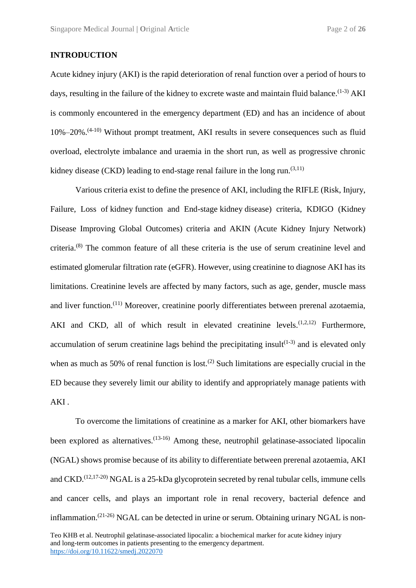#### **INTRODUCTION**

Acute kidney injury (AKI) is the rapid deterioration of renal function over a period of hours to days, resulting in the failure of the kidney to excrete waste and maintain fluid balance.<sup> $(1-3)$ </sup> AKI is commonly encountered in the emergency department (ED) and has an incidence of about  $10\% - 20\%$ .<sup> $(4-10)$ </sup> Without prompt treatment, AKI results in severe consequences such as fluid overload, electrolyte imbalance and uraemia in the short run, as well as progressive chronic kidney disease (CKD) leading to end-stage renal failure in the long run.<sup> $(3,11)$ </sup>

Various criteria exist to define the presence of AKI, including the RIFLE (Risk, Injury, Failure, Loss of kidney function and End-stage kidney disease) criteria, KDIGO (Kidney Disease Improving Global Outcomes) criteria and AKIN (Acute Kidney Injury Network) criteria.(8) The common feature of all these criteria is the use of serum creatinine level and estimated glomerular filtration rate (eGFR). However, using creatinine to diagnose AKI has its limitations. Creatinine levels are affected by many factors, such as age, gender, muscle mass and liver function.<sup>(11)</sup> Moreover, creatinine poorly differentiates between prerenal azotaemia, AKI and CKD, all of which result in elevated creatinine levels.<sup> $(1,2,12)$ </sup> Furthermore, accumulation of serum creatinine lags behind the precipitating insult<sup> $(1-3)$ </sup> and is elevated only when as much as 50% of renal function is lost.<sup>(2)</sup> Such limitations are especially crucial in the ED because they severely limit our ability to identify and appropriately manage patients with AKI .

To overcome the limitations of creatinine as a marker for AKI, other biomarkers have been explored as alternatives.<sup> $(13-16)$ </sup> Among these, neutrophil gelatinase-associated lipocalin (NGAL) shows promise because of its ability to differentiate between prerenal azotaemia, AKI and CKD.<sup> $(12,17-20)$ </sup> NGAL is a 25-kDa glycoprotein secreted by renal tubular cells, immune cells and cancer cells, and plays an important role in renal recovery, bacterial defence and inflammation.<sup> $(21-26)$ </sup> NGAL can be detected in urine or serum. Obtaining urinary NGAL is non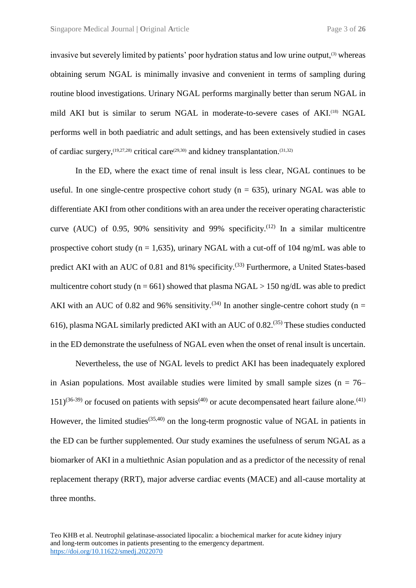invasive but severely limited by patients' poor hydration status and low urine output,<sup>(3)</sup> whereas obtaining serum NGAL is minimally invasive and convenient in terms of sampling during routine blood investigations. Urinary NGAL performs marginally better than serum NGAL in mild AKI but is similar to serum NGAL in moderate-to-severe cases of AKI.<sup>(18)</sup> NGAL performs well in both paediatric and adult settings, and has been extensively studied in cases of cardiac surgery,  $(19,27,28)$  critical care  $(29,30)$  and kidney transplantation.  $(31,32)$ 

In the ED, where the exact time of renal insult is less clear, NGAL continues to be useful. In one single-centre prospective cohort study ( $n = 635$ ), urinary NGAL was able to differentiate AKI from other conditions with an area under the receiver operating characteristic curve (AUC) of 0.95, 90% sensitivity and 99% specificity.<sup>(12)</sup> In a similar multicentre prospective cohort study ( $n = 1,635$ ), urinary NGAL with a cut-off of 104 ng/mL was able to predict AKI with an AUC of 0.81 and 81% specificity.<sup>(33)</sup> Furthermore, a United States-based multicentre cohort study ( $n = 661$ ) showed that plasma NGAL > 150 ng/dL was able to predict AKI with an AUC of 0.82 and 96% sensitivity.<sup>(34)</sup> In another single-centre cohort study (n = 616), plasma NGAL similarly predicted AKI with an AUC of 0.82.(35) These studies conducted in the ED demonstrate the usefulness of NGAL even when the onset of renal insult is uncertain.

Nevertheless, the use of NGAL levels to predict AKI has been inadequately explored in Asian populations. Most available studies were limited by small sample sizes ( $n = 76 151$ )<sup>(36-39)</sup> or focused on patients with sepsis<sup>(40)</sup> or acute decompensated heart failure alone.<sup>(41)</sup> However, the limited studies<sup>(35,40)</sup> on the long-term prognostic value of NGAL in patients in the ED can be further supplemented. Our study examines the usefulness of serum NGAL as a biomarker of AKI in a multiethnic Asian population and as a predictor of the necessity of renal replacement therapy (RRT), major adverse cardiac events (MACE) and all-cause mortality at three months.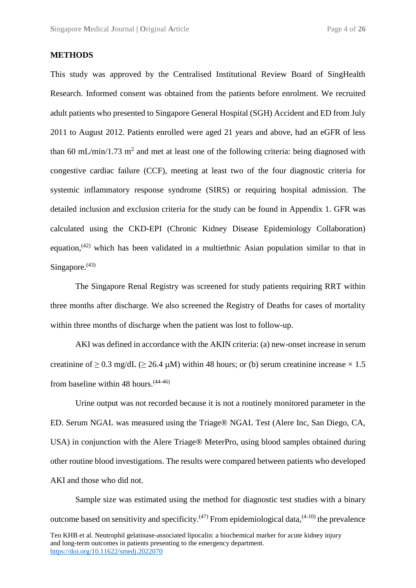#### **METHODS**

This study was approved by the Centralised Institutional Review Board of SingHealth Research. Informed consent was obtained from the patients before enrolment. We recruited adult patients who presented to Singapore General Hospital (SGH) Accident and ED from July 2011 to August 2012. Patients enrolled were aged 21 years and above, had an eGFR of less than 60 mL/min/1.73 m<sup>2</sup> and met at least one of the following criteria: being diagnosed with congestive cardiac failure (CCF), meeting at least two of the four diagnostic criteria for systemic inflammatory response syndrome (SIRS) or requiring hospital admission. The detailed inclusion and exclusion criteria for the study can be found in Appendix 1. GFR was calculated using the CKD-EPI (Chronic Kidney Disease Epidemiology Collaboration) equation,<sup>(42)</sup> which has been validated in a multiethnic Asian population similar to that in Singapore.<sup>(43)</sup>

The Singapore Renal Registry was screened for study patients requiring RRT within three months after discharge. We also screened the Registry of Deaths for cases of mortality within three months of discharge when the patient was lost to follow-up.

AKI was defined in accordance with the AKIN criteria: (a) new-onset increase in serum creatinine of  $> 0.3$  mg/dL ( $> 26.4$  µM) within 48 hours; or (b) serum creatinine increase  $\times 1.5$ from baseline within 48 hours.(44-46)

Urine output was not recorded because it is not a routinely monitored parameter in the ED. Serum NGAL was measured using the Triage® NGAL Test (Alere Inc, San Diego, CA, USA) in conjunction with the Alere Triage® MeterPro, using blood samples obtained during other routine blood investigations. The results were compared between patients who developed AKI and those who did not.

Sample size was estimated using the method for diagnostic test studies with a binary outcome based on sensitivity and specificity.<sup> $(47)$ </sup> From epidemiological data, $(4-10)$  the prevalence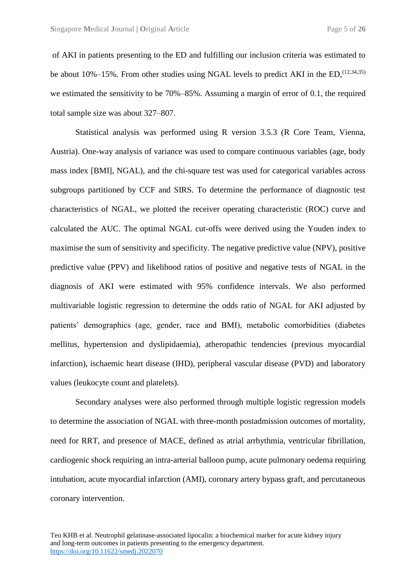of AKI in patients presenting to the ED and fulfilling our inclusion criteria was estimated to be about 10%–15%. From other studies using NGAL levels to predict AKI in the ED,  $(12,34,35)$ we estimated the sensitivity to be 70%–85%. Assuming a margin of error of 0.1, the required total sample size was about 327–807.

Statistical analysis was performed using R version 3.5.3 (R Core Team, Vienna, Austria). One-way analysis of variance was used to compare continuous variables (age, body mass index [BMI], NGAL), and the chi-square test was used for categorical variables across subgroups partitioned by CCF and SIRS. To determine the performance of diagnostic test characteristics of NGAL, we plotted the receiver operating characteristic (ROC) curve and calculated the AUC. The optimal NGAL cut-offs were derived using the Youden index to maximise the sum of sensitivity and specificity. The negative predictive value (NPV), positive predictive value (PPV) and likelihood ratios of positive and negative tests of NGAL in the diagnosis of AKI were estimated with 95% confidence intervals. We also performed multivariable logistic regression to determine the odds ratio of NGAL for AKI adjusted by patients' demographics (age, gender, race and BMI), metabolic comorbidities (diabetes mellitus, hypertension and dyslipidaemia), atheropathic tendencies (previous myocardial infarction), ischaemic heart disease (IHD), peripheral vascular disease (PVD) and laboratory values (leukocyte count and platelets).

Secondary analyses were also performed through multiple logistic regression models to determine the association of NGAL with three-month postadmission outcomes of mortality, need for RRT, and presence of MACE, defined as atrial arrhythmia, ventricular fibrillation, cardiogenic shock requiring an intra-arterial balloon pump, acute pulmonary oedema requiring intubation, acute myocardial infarction (AMI), coronary artery bypass graft, and percutaneous coronary intervention.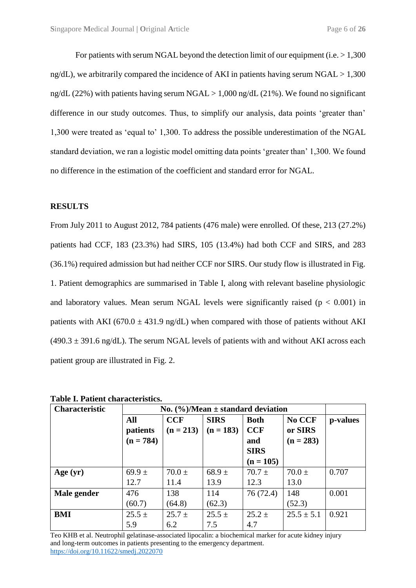For patients with serum NGAL beyond the detection limit of our equipment (i.e.  $> 1.300$ ) ng/dL), we arbitrarily compared the incidence of AKI in patients having serum NGAL  $> 1.300$ ng/dL (22%) with patients having serum NGAL  $> 1,000$  ng/dL (21%). We found no significant difference in our study outcomes. Thus, to simplify our analysis, data points 'greater than' 1,300 were treated as 'equal to' 1,300. To address the possible underestimation of the NGAL standard deviation, we ran a logistic model omitting data points 'greater than' 1,300. We found no difference in the estimation of the coefficient and standard error for NGAL.

#### **RESULTS**

From July 2011 to August 2012, 784 patients (476 male) were enrolled. Of these, 213 (27.2%) patients had CCF, 183 (23.3%) had SIRS, 105 (13.4%) had both CCF and SIRS, and 283 (36.1%) required admission but had neither CCF nor SIRS. Our study flow is illustrated in Fig. 1. Patient demographics are summarised in Table I, along with relevant baseline physiologic and laboratory values. Mean serum NGAL levels were significantly raised ( $p < 0.001$ ) in patients with AKI (670.0  $\pm$  431.9 ng/dL) when compared with those of patients without AKI  $(490.3 \pm 391.6 \text{ ng/dL})$ . The serum NGAL levels of patients with and without AKI across each patient group are illustrated in Fig. 2.

| <b>Characteristic</b> | No. $(\frac{6}{6})$ /Mean ± standard deviation |             |             |             |                |          |
|-----------------------|------------------------------------------------|-------------|-------------|-------------|----------------|----------|
|                       | All                                            | <b>CCF</b>  | <b>SIRS</b> | <b>Both</b> | No CCF         | p-values |
|                       | patients                                       | $(n = 213)$ | $(n = 183)$ | <b>CCF</b>  | or SIRS        |          |
|                       | $(n = 784)$                                    |             |             | and         | $(n = 283)$    |          |
|                       |                                                |             |             | <b>SIRS</b> |                |          |
|                       |                                                |             |             | $(n = 105)$ |                |          |
| Age $(yr)$            | 69.9 $\pm$                                     | $70.0 \pm$  | $68.9 \pm$  | $70.7 \pm$  | $70.0 \pm$     | 0.707    |
|                       | 12.7                                           | 11.4        | 13.9        | 12.3        | 13.0           |          |
| Male gender           | 476                                            | 138         | 114         | 76 (72.4)   | 148            | 0.001    |
|                       | (60.7)                                         | (64.8)      | (62.3)      |             | (52.3)         |          |
| <b>BMI</b>            | $25.5 \pm$                                     | $25.7 \pm$  | $25.5 \pm$  | $25.2 \pm$  | $25.5 \pm 5.1$ | 0.921    |
|                       | 5.9                                            | 6.2         | 7.5         | 4.7         |                |          |

**Table I. Patient characteristics.**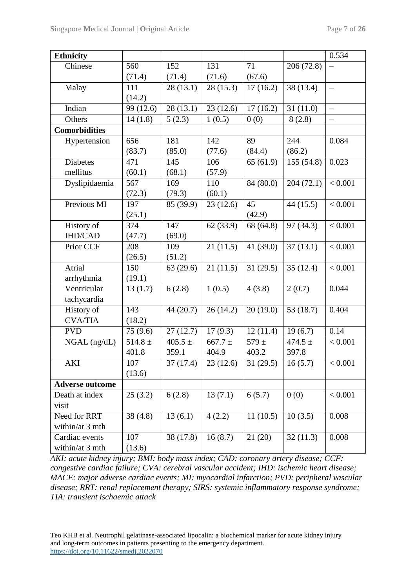| Ethnicity              |             |                        |             |                        |             | 0.534                    |
|------------------------|-------------|------------------------|-------------|------------------------|-------------|--------------------------|
| Chinese                | 560         | 152                    | 131         | 71                     | 206 (72.8)  |                          |
|                        | (71.4)      | (71.4)                 | (71.6)      | (67.6)                 |             |                          |
| Malay                  | 111         | 28(13.1)               | 28(15.3)    | 17(16.2)               | 38 (13.4)   | $\overline{\phantom{m}}$ |
|                        | (14.2)      |                        |             |                        |             |                          |
| Indian                 | 99 (12.6)   | 28(13.1)               | 23(12.6)    | 17(16.2)               | 31(11.0)    |                          |
| Others                 | 14(1.8)     | 5(2.3)                 | 1(0.5)      | 0(0)                   | 8(2.8)      |                          |
| <b>Comorbidities</b>   |             |                        |             |                        |             |                          |
| Hypertension           | 656         | 181                    | 142         | 89                     | 244         | 0.084                    |
|                        | (83.7)      | (85.0)                 | (77.6)      | (84.4)                 | (86.2)      |                          |
| Diabetes               | 471         | 145                    | 106         | 65(61.9)               | 155 (54.8)  | 0.023                    |
| mellitus               | (60.1)      | (68.1)                 | (57.9)      |                        |             |                          |
| Dyslipidaemia          | 567         | 169                    | 110         | 84 (80.0)              | 204(72.1)   | < 0.001                  |
|                        | (72.3)      | (79.3)                 | (60.1)      |                        |             |                          |
| Previous MI            | 197         | 85 (39.9)              | 23(12.6)    | 45                     | 44(15.5)    | < 0.001                  |
|                        | (25.1)      |                        |             | (42.9)                 |             |                          |
| History of             | 374         | 147                    | 62(33.9)    | 68 (64.8)              | 97 (34.3)   | < 0.001                  |
| <b>IHD/CAD</b>         | (47.7)      | (69.0)                 |             |                        |             |                          |
| Prior CCF              | 208         | 109                    | 21(11.5)    | 41 (39.0)              | 37(13.1)    | < 0.001                  |
|                        | (26.5)      | (51.2)                 |             |                        |             |                          |
| Atrial                 | 150         | 63(29.6)               | 21(11.5)    | 31(29.5)               | 35(12.4)    | < 0.001                  |
| arrhythmia             | (19.1)      |                        |             |                        |             |                          |
| Ventricular            | 13(1.7)     | 6(2.8)                 | 1(0.5)      | 4(3.8)                 | 2(0.7)      | 0.044                    |
| tachycardia            |             |                        |             |                        |             |                          |
| History of             | 143         | 44(20.7)               | 26(14.2)    | 20(19.0)               | 53 $(18.7)$ | 0.404                    |
| <b>CVA/TIA</b>         | (18.2)      |                        |             |                        |             |                          |
| <b>PVD</b>             | 75(9.6)     | 27(12.7)               | 17(9.3)     | 12(11.4)               | 19(6.7)     | 0.14                     |
| NGAL (ng/dL)           | $514.8 \pm$ | $405.5 \pm$            | $667.7 \pm$ | $579 \pm$              | 474.5 $\pm$ | < 0.001                  |
|                        | 401.8       | 359.1                  | 404.9       | 403.2                  | 397.8       |                          |
| AKI                    | 107         | $\overline{37}$ (17.4) | 23(12.6)    | $\overline{31}$ (29.5) | 16(5.7)     | < 0.001                  |
|                        | (13.6)      |                        |             |                        |             |                          |
| <b>Adverse outcome</b> |             |                        |             |                        |             |                          |
| Death at index         | 25(3.2)     | 6(2.8)                 | 13(7.1)     | 6(5.7)                 | 0(0)        | < 0.001                  |
| visit                  |             |                        |             |                        |             |                          |
| Need for RRT           | 38(4.8)     | 13(6.1)                | 4(2.2)      | 11(10.5)               | 10(3.5)     | 0.008                    |
| within/at 3 mth        |             |                        |             |                        |             |                          |
| Cardiac events         | 107         | 38 (17.8)              | 16(8.7)     | 21(20)                 | 32(11.3)    | 0.008                    |
| within/at 3 mth        | (13.6)      |                        |             |                        |             |                          |

*AKI: acute kidney injury; BMI: body mass index; CAD: coronary artery disease; CCF: congestive cardiac failure; CVA: cerebral vascular accident; IHD: ischemic heart disease; MACE: major adverse cardiac events; MI: myocardial infarction; PVD: peripheral vascular disease; RRT: renal replacement therapy; SIRS: systemic inflammatory response syndrome; TIA: transient ischaemic attack*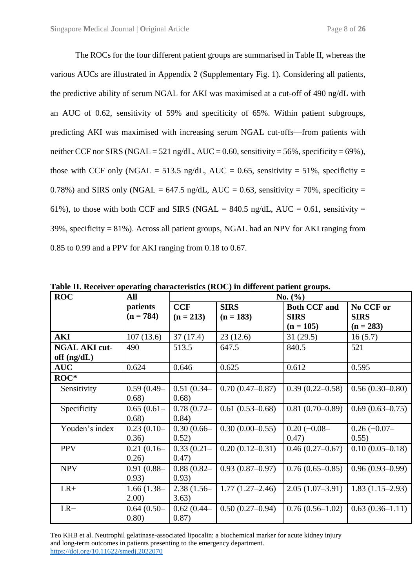The ROCs for the four different patient groups are summarised in Table II, whereas the various AUCs are illustrated in Appendix 2 (Supplementary Fig. 1). Considering all patients, the predictive ability of serum NGAL for AKI was maximised at a cut-off of 490 ng/dL with an AUC of 0.62, sensitivity of 59% and specificity of 65%. Within patient subgroups, predicting AKI was maximised with increasing serum NGAL cut-offs—from patients with neither CCF nor SIRS (NGAL = 521 ng/dL, AUC = 0.60, sensitivity = 56%, specificity = 69%), those with CCF only (NGAL = 513.5 ng/dL, AUC = 0.65, sensitivity = 51%, specificity = 0.78%) and SIRS only (NGAL = 647.5 ng/dL, AUC = 0.63, sensitivity = 70%, specificity = 61%), to those with both CCF and SIRS (NGAL = 840.5 ng/dL, AUC = 0.61, sensitivity =  $39\%$ , specificity = 81%). Across all patient groups, NGAL had an NPV for AKI ranging from 0.85 to 0.99 and a PPV for AKI ranging from 0.18 to 0.67.

| <b>ROC</b>                            | All                     | No. (%)                   |                            |                                                   |                                         |  |
|---------------------------------------|-------------------------|---------------------------|----------------------------|---------------------------------------------------|-----------------------------------------|--|
|                                       | patients<br>$(n = 784)$ | <b>CCF</b><br>$(n = 213)$ | <b>SIRS</b><br>$(n = 183)$ | <b>Both CCF and</b><br><b>SIRS</b><br>$(n = 105)$ | No CCF or<br><b>SIRS</b><br>$(n = 283)$ |  |
| <b>AKI</b>                            | 107(13.6)               | 37(17.4)                  | 23(12.6)                   | 31(29.5)                                          | 16(5.7)                                 |  |
| <b>NGAL AKI cut-</b><br>off $(ng/dL)$ | 490                     | 513.5                     | 647.5                      | 840.5                                             | 521                                     |  |
| <b>AUC</b>                            | 0.624                   | 0.646                     | 0.625                      | 0.612                                             | 0.595                                   |  |
| $ROC*$                                |                         |                           |                            |                                                   |                                         |  |
| Sensitivity                           | $0.59(0.49 -$<br>0.68)  | $0.51(0.34 -$<br>0.68)    | $0.70(0.47-0.87)$          | $0.39(0.22 - 0.58)$                               | $0.56(0.30-0.80)$                       |  |
| Specificity                           | $0.65(0.61 -$<br>0.68)  | $0.78(0.72 -$<br>0.84)    | $0.61(0.53 - 0.68)$        | $0.81(0.70-0.89)$                                 | $0.69(0.63 - 0.75)$                     |  |
| Youden's index                        | $0.23(0.10-$<br>0.36)   | $0.30(0.66-$<br>0.52)     | $0.30(0.00-0.55)$          | $0.20(-0.08-$<br>0.47)                            | $0.26(-0.07-$<br>0.55)                  |  |
| <b>PPV</b>                            | $0.21(0.16-$<br>0.26)   | $0.33(0.21 -$<br>0.47)    | $0.20(0.12 - 0.31)$        | $0.46(0.27-0.67)$                                 | $0.10(0.05 - 0.18)$                     |  |
| <b>NPV</b>                            | $0.91(0.88 -$<br>0.93)  | $0.88(0.82 -$<br>0.93)    | $0.93(0.87-0.97)$          | $0.76(0.65 - 0.85)$                               | $0.96(0.93-0.99)$                       |  |
| $LR+$                                 | $1.66(1.38 -$<br>2.00)  | $2.38(1.56 -$<br>3.63)    | $1.77(1.27-2.46)$          | $2.05(1.07-3.91)$                                 | $1.83(1.15-2.93)$                       |  |
| $LR-$                                 | $0.64(0.50-$<br>0.80)   | $0.62(0.44 -$<br>0.87)    | $0.50(0.27-0.94)$          | $0.76(0.56-1.02)$                                 | $0.63(0.36-1.11)$                       |  |

**Table II. Receiver operating characteristics (ROC) in different patient groups.**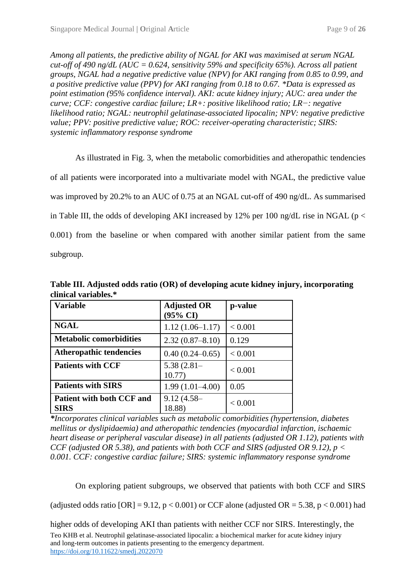*Among all patients, the predictive ability of NGAL for AKI was maximised at serum NGAL cut-off of 490 ng/dL (AUC = 0.624, sensitivity 59% and specificity 65%). Across all patient groups, NGAL had a negative predictive value (NPV) for AKI ranging from 0.85 to 0.99, and a positive predictive value (PPV) for AKI ranging from 0.18 to 0.67. \*Data is expressed as point estimation (95% confidence interval). AKI: acute kidney injury; AUC: area under the curve; CCF: congestive cardiac failure; LR+: positive likelihood ratio; LR−: negative likelihood ratio; NGAL: neutrophil gelatinase-associated lipocalin; NPV: negative predictive value; PPV: positive predictive value; ROC: receiver-operating characteristic; SIRS: systemic inflammatory response syndrome*

As illustrated in Fig. 3, when the metabolic comorbidities and atheropathic tendencies of all patients were incorporated into a multivariate model with NGAL, the predictive value was improved by 20.2% to an AUC of 0.75 at an NGAL cut-off of 490 ng/dL. As summarised in Table III, the odds of developing AKI increased by 12% per 100 ng/dL rise in NGAL ( $p <$ 0.001) from the baseline or when compared with another similar patient from the same subgroup.

**Table III. Adjusted odds ratio (OR) of developing acute kidney injury, incorporating clinical variables.\***

| <b>Variable</b>                          | <b>Adjusted OR</b><br>$(95\% \text{ CI})$ | p-value |
|------------------------------------------|-------------------------------------------|---------|
| <b>NGAL</b>                              | $1.12(1.06-1.17)$                         | < 0.001 |
| <b>Metabolic comorbidities</b>           | $2.32(0.87 - 8.10)$                       | 0.129   |
| <b>Atheropathic tendencies</b>           | $0.40(0.24 - 0.65)$                       | < 0.001 |
| <b>Patients with CCF</b>                 | $5.38(2.81 -$<br>10.77)                   | < 0.001 |
| <b>Patients with SIRS</b>                | $1.99(1.01-4.00)$                         | 0.05    |
| Patient with both CCF and<br><b>SIRS</b> | $9.12(4.58 -$<br>18.88)                   | < 0.001 |

*\*Incorporates clinical variables such as metabolic comorbidities (hypertension, diabetes mellitus or dyslipidaemia) and atheropathic tendencies (myocardial infarction, ischaemic heart disease or peripheral vascular disease) in all patients (adjusted OR 1.12), patients with CCF (adjusted OR 5.38), and patients with both CCF and SIRS (adjusted OR 9.12), p < 0.001. CCF: congestive cardiac failure; SIRS: systemic inflammatory response syndrome*

On exploring patient subgroups, we observed that patients with both CCF and SIRS

(adjusted odds ratio  $[OR] = 9.12$ ,  $p < 0.001$ ) or CCF alone (adjusted OR = 5.38,  $p < 0.001$ ) had

Teo KHB et al. Neutrophil gelatinase-associated lipocalin: a biochemical marker for acute kidney injury and long-term outcomes in patients presenting to the emergency department. <https://doi.org/10.11622/smedj.2022070> higher odds of developing AKI than patients with neither CCF nor SIRS. Interestingly, the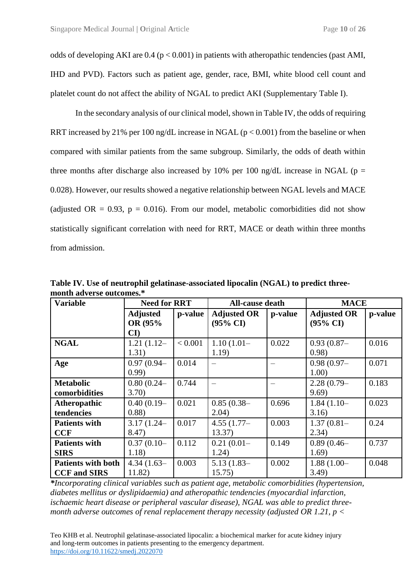odds of developing AKI are  $0.4$  ( $p < 0.001$ ) in patients with atheropathic tendencies (past AMI, IHD and PVD). Factors such as patient age, gender, race, BMI, white blood cell count and platelet count do not affect the ability of NGAL to predict AKI (Supplementary Table I).

In the secondary analysis of our clinical model, shown in Table IV, the odds of requiring RRT increased by 21% per 100 ng/dL increase in NGAL ( $p < 0.001$ ) from the baseline or when compared with similar patients from the same subgroup. Similarly, the odds of death within three months after discharge also increased by 10% per 100 ng/dL increase in NGAL ( $p =$ 0.028). However, our results showed a negative relationship between NGAL levels and MACE (adjusted OR =  $0.93$ , p =  $0.016$ ). From our model, metabolic comorbidities did not show statistically significant correlation with need for RRT, MACE or death within three months from admission.

| <b>Variable</b>                                  | <b>Need for RRT</b>                                  |         | <b>All-cause death</b>                    |         | <b>MACE</b>                               |         |
|--------------------------------------------------|------------------------------------------------------|---------|-------------------------------------------|---------|-------------------------------------------|---------|
|                                                  | <b>Adjusted</b><br>OR (95%<br>$\mathbf{C}\mathbf{I}$ | p-value | <b>Adjusted OR</b><br>$(95\% \text{ CI})$ | p-value | <b>Adjusted OR</b><br>$(95\% \text{ CI})$ | p-value |
| <b>NGAL</b>                                      | $1.21(1.12-$<br>1.31)                                | < 0.001 | $1.10(1.01 -$<br>1.19)                    | 0.022   | $0.93(0.87 -$<br>0.98)                    | 0.016   |
| Age                                              | $0.97(0.94 -$<br>(0.99)                              | 0.014   |                                           |         | $0.98(0.97 -$<br>1.00)                    | 0.071   |
| <b>Metabolic</b><br>comorbidities                | $0.80(0.24 -$<br>3.70                                | 0.744   |                                           |         | $2.28(0.79-$<br>9.69)                     | 0.183   |
| Atheropathic<br>tendencies                       | $0.40(0.19-$<br>(0.88)                               | 0.021   | $0.85(0.38 -$<br>2.04)                    | 0.696   | $1.84(1.10-$<br>3.16)                     | 0.023   |
| <b>Patients with</b><br><b>CCF</b>               | $3.17(1.24 -$<br>8.47)                               | 0.017   | 4.55 $(1.77-$<br>13.37)                   | 0.003   | $1.37(0.81 -$<br>2.34)                    | 0.24    |
| <b>Patients with</b><br><b>SIRS</b>              | $0.37(0.10-$<br>1.18)                                | 0.112   | $0.21(0.01 -$<br>1.24)                    | 0.149   | $0.89(0.46 -$<br>1.69)                    | 0.737   |
| <b>Patients with both</b><br><b>CCF</b> and SIRS | $4.34(1.63-$<br>11.82)                               | 0.003   | $5.13(1.83-$<br>15.75)                    | 0.002   | $1.88(1.00 -$<br>3.49                     | 0.048   |

**Table IV. Use of neutrophil gelatinase-associated lipocalin (NGAL) to predict threemonth adverse outcomes.\***

*\*Incorporating clinical variables such as patient age, metabolic comorbidities (hypertension, diabetes mellitus or dyslipidaemia) and atheropathic tendencies (myocardial infarction, ischaemic heart disease or peripheral vascular disease), NGAL was able to predict threemonth adverse outcomes of renal replacement therapy necessity (adjusted OR 1.21, p <*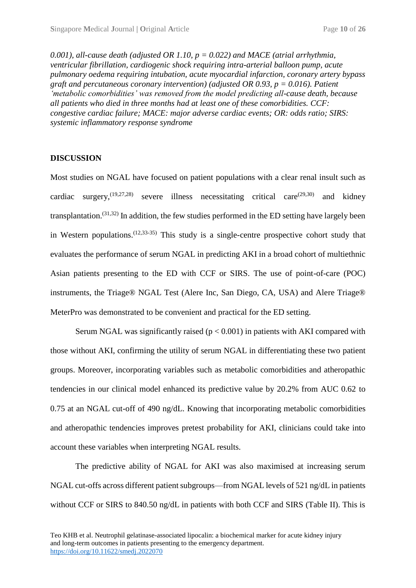0.001), all-cause death (adjusted OR 1.10,  $p = 0.022$ ) and MACE (atrial arrhythmia, *ventricular fibrillation, cardiogenic shock requiring intra-arterial balloon pump, acute pulmonary oedema requiring intubation, acute myocardial infarction, coronary artery bypass graft and percutaneous coronary intervention) (adjusted OR 0.93, p = 0.016). Patient 'metabolic comorbidities' was removed from the model predicting all-cause death, because all patients who died in three months had at least one of these comorbidities. CCF: congestive cardiac failure; MACE: major adverse cardiac events; OR: odds ratio; SIRS: systemic inflammatory response syndrome*

#### **DISCUSSION**

Most studies on NGAL have focused on patient populations with a clear renal insult such as cardiac surgery,  $(19,27,28)$  severe illness necessitating critical care  $(29,30)$  and kidney transplantation.<sup>(31,32)</sup> In addition, the few studies performed in the ED setting have largely been in Western populations.  $(12,33-35)$  This study is a single-centre prospective cohort study that evaluates the performance of serum NGAL in predicting AKI in a broad cohort of multiethnic Asian patients presenting to the ED with CCF or SIRS. The use of point-of-care (POC) instruments, the Triage® NGAL Test (Alere Inc, San Diego, CA, USA) and Alere Triage® MeterPro was demonstrated to be convenient and practical for the ED setting.

Serum NGAL was significantly raised ( $p < 0.001$ ) in patients with AKI compared with those without AKI, confirming the utility of serum NGAL in differentiating these two patient groups. Moreover, incorporating variables such as metabolic comorbidities and atheropathic tendencies in our clinical model enhanced its predictive value by 20.2% from AUC 0.62 to 0.75 at an NGAL cut-off of 490 ng/dL. Knowing that incorporating metabolic comorbidities and atheropathic tendencies improves pretest probability for AKI, clinicians could take into account these variables when interpreting NGAL results.

The predictive ability of NGAL for AKI was also maximised at increasing serum NGAL cut-offs across different patient subgroups—from NGAL levels of 521 ng/dL in patients without CCF or SIRS to 840.50 ng/dL in patients with both CCF and SIRS (Table II). This is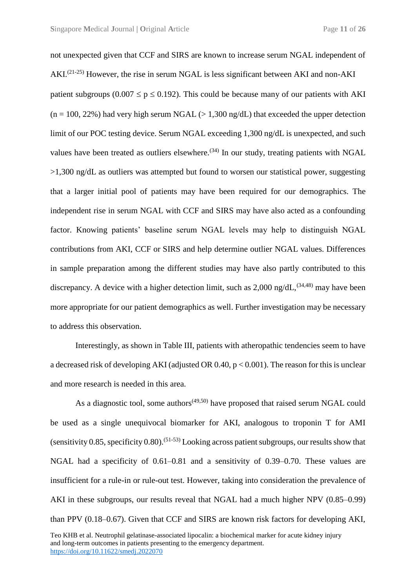not unexpected given that CCF and SIRS are known to increase serum NGAL independent of  $AKI^{(21-25)}$  However, the rise in serum NGAL is less significant between AKI and non-AKI patient subgroups (0.007  $\leq p \leq 0.192$ ). This could be because many of our patients with AKI  $(n = 100, 22\%)$  had very high serum NGAL  $(> 1.300 \text{ ng/dL})$  that exceeded the upper detection limit of our POC testing device. Serum NGAL exceeding 1,300 ng/dL is unexpected, and such values have been treated as outliers elsewhere.<sup> $(34)$ </sup> In our study, treating patients with NGAL >1,300 ng/dL as outliers was attempted but found to worsen our statistical power, suggesting that a larger initial pool of patients may have been required for our demographics. The independent rise in serum NGAL with CCF and SIRS may have also acted as a confounding factor. Knowing patients' baseline serum NGAL levels may help to distinguish NGAL contributions from AKI, CCF or SIRS and help determine outlier NGAL values. Differences in sample preparation among the different studies may have also partly contributed to this discrepancy. A device with a higher detection limit, such as  $2,000$  ng/dL,<sup>(34,48)</sup> may have been more appropriate for our patient demographics as well. Further investigation may be necessary to address this observation.

Interestingly, as shown in Table III, patients with atheropathic tendencies seem to have a decreased risk of developing AKI (adjusted OR  $0.40$ ,  $p < 0.001$ ). The reason for this is unclear and more research is needed in this area.

As a diagnostic tool, some authors<sup>(49,50)</sup> have proposed that raised serum NGAL could be used as a single unequivocal biomarker for AKI, analogous to troponin T for AMI (sensitivity 0.85, specificity 0.80).<sup>(51-53)</sup> Looking across patient subgroups, our results show that NGAL had a specificity of 0.61–0.81 and a sensitivity of 0.39–0.70. These values are insufficient for a rule-in or rule-out test. However, taking into consideration the prevalence of AKI in these subgroups, our results reveal that NGAL had a much higher NPV (0.85–0.99) than PPV (0.18–0.67). Given that CCF and SIRS are known risk factors for developing AKI,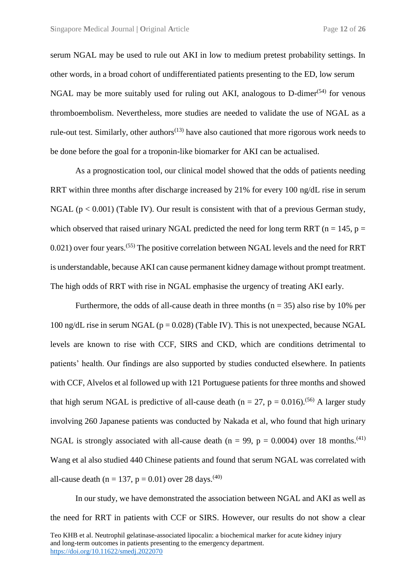serum NGAL may be used to rule out AKI in low to medium pretest probability settings. In other words, in a broad cohort of undifferentiated patients presenting to the ED, low serum NGAL may be more suitably used for ruling out AKI, analogous to D-dimer $(54)$  for venous thromboembolism. Nevertheless, more studies are needed to validate the use of NGAL as a rule-out test. Similarly, other authors<sup> $(13)$ </sup> have also cautioned that more rigorous work needs to be done before the goal for a troponin-like biomarker for AKI can be actualised.

As a prognostication tool, our clinical model showed that the odds of patients needing RRT within three months after discharge increased by 21% for every 100 ng/dL rise in serum NGAL ( $p < 0.001$ ) (Table IV). Our result is consistent with that of a previous German study, which observed that raised urinary NGAL predicted the need for long term RRT ( $n = 145$ ,  $p =$ 0.021) over four years.<sup>(55)</sup> The positive correlation between NGAL levels and the need for RRT is understandable, because AKI can cause permanent kidney damage without prompt treatment. The high odds of RRT with rise in NGAL emphasise the urgency of treating AKI early.

Furthermore, the odds of all-cause death in three months ( $n = 35$ ) also rise by 10% per 100 ng/dL rise in serum NGAL ( $p = 0.028$ ) (Table IV). This is not unexpected, because NGAL levels are known to rise with CCF, SIRS and CKD, which are conditions detrimental to patients' health. Our findings are also supported by studies conducted elsewhere. In patients with CCF, Alvelos et al followed up with 121 Portuguese patients for three months and showed that high serum NGAL is predictive of all-cause death ( $n = 27$ ,  $p = 0.016$ ).<sup>(56)</sup> A larger study involving 260 Japanese patients was conducted by Nakada et al, who found that high urinary NGAL is strongly associated with all-cause death ( $n = 99$ ,  $p = 0.0004$ ) over 18 months.<sup>(41)</sup> Wang et al also studied 440 Chinese patients and found that serum NGAL was correlated with all-cause death (n = 137, p = 0.01) over 28 days.<sup>(40)</sup>

In our study, we have demonstrated the association between NGAL and AKI as well as the need for RRT in patients with CCF or SIRS. However, our results do not show a clear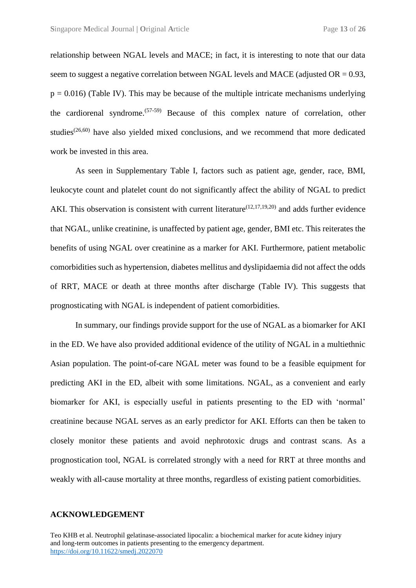relationship between NGAL levels and MACE; in fact, it is interesting to note that our data seem to suggest a negative correlation between NGAL levels and MACE (adjusted  $OR = 0.93$ ,  $p = 0.016$ ) (Table IV). This may be because of the multiple intricate mechanisms underlying the cardiorenal syndrome.(57-59) Because of this complex nature of correlation, other studies<sup> $(26,60)$ </sup> have also yielded mixed conclusions, and we recommend that more dedicated work be invested in this area.

As seen in Supplementary Table I, factors such as patient age, gender, race, BMI, leukocyte count and platelet count do not significantly affect the ability of NGAL to predict AKI. This observation is consistent with current literature<sup> $(12,17,19,20)$ </sup> and adds further evidence that NGAL, unlike creatinine, is unaffected by patient age, gender, BMI etc. This reiterates the benefits of using NGAL over creatinine as a marker for AKI. Furthermore, patient metabolic comorbidities such as hypertension, diabetes mellitus and dyslipidaemia did not affect the odds of RRT, MACE or death at three months after discharge (Table IV). This suggests that prognosticating with NGAL is independent of patient comorbidities.

In summary, our findings provide support for the use of NGAL as a biomarker for AKI in the ED. We have also provided additional evidence of the utility of NGAL in a multiethnic Asian population. The point-of-care NGAL meter was found to be a feasible equipment for predicting AKI in the ED, albeit with some limitations. NGAL, as a convenient and early biomarker for AKI, is especially useful in patients presenting to the ED with 'normal' creatinine because NGAL serves as an early predictor for AKI. Efforts can then be taken to closely monitor these patients and avoid nephrotoxic drugs and contrast scans. As a prognostication tool, NGAL is correlated strongly with a need for RRT at three months and weakly with all-cause mortality at three months, regardless of existing patient comorbidities.

#### **ACKNOWLEDGEMENT**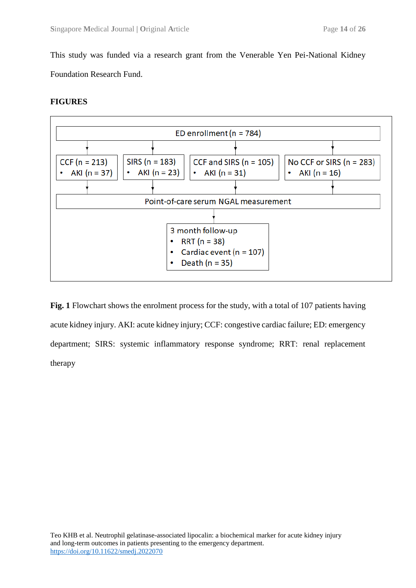This study was funded via a research grant from the Venerable Yen Pei-National Kidney Foundation Research Fund.

#### **FIGURES**



**Fig. 1** Flowchart shows the enrolment process for the study, with a total of 107 patients having acute kidney injury. AKI: acute kidney injury; CCF: congestive cardiac failure; ED: emergency department; SIRS: systemic inflammatory response syndrome; RRT: renal replacement therapy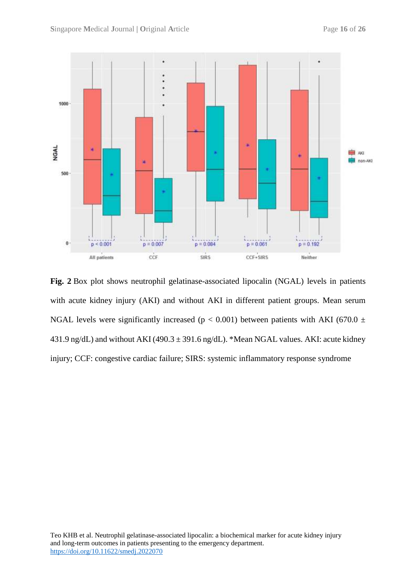

**Fig. 2** Box plot shows neutrophil gelatinase-associated lipocalin (NGAL) levels in patients with acute kidney injury (AKI) and without AKI in different patient groups. Mean serum NGAL levels were significantly increased ( $p < 0.001$ ) between patients with AKI (670.0  $\pm$ 431.9 ng/dL) and without AKI (490.3  $\pm$  391.6 ng/dL). \*Mean NGAL values. AKI: acute kidney injury; CCF: congestive cardiac failure; SIRS: systemic inflammatory response syndrome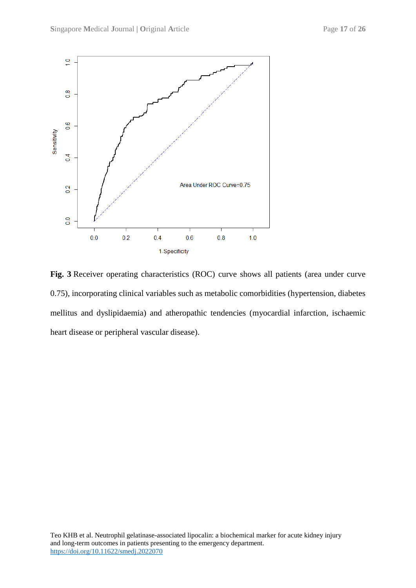

**Fig. 3** Receiver operating characteristics (ROC) curve shows all patients (area under curve 0.75), incorporating clinical variables such as metabolic comorbidities (hypertension, diabetes mellitus and dyslipidaemia) and atheropathic tendencies (myocardial infarction, ischaemic heart disease or peripheral vascular disease).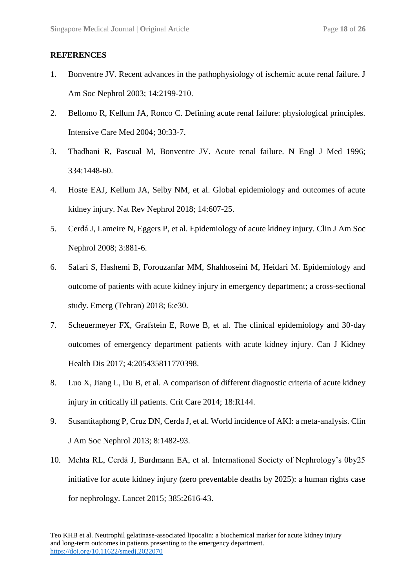#### **REFERENCES**

- 1. Bonventre JV. Recent advances in the pathophysiology of ischemic acute renal failure. J Am Soc Nephrol 2003; 14:2199-210.
- 2. Bellomo R, Kellum JA, Ronco C. Defining acute renal failure: physiological principles. Intensive Care Med 2004; 30:33-7.
- 3. Thadhani R, Pascual M, Bonventre JV. Acute renal failure. N Engl J Med 1996; 334:1448-60.
- 4. Hoste EAJ, Kellum JA, Selby NM, et al. Global epidemiology and outcomes of acute kidney injury. Nat Rev Nephrol 2018; 14:607-25.
- 5. Cerdá J, Lameire N, Eggers P, et al. Epidemiology of acute kidney injury. Clin J Am Soc Nephrol 2008; 3:881-6.
- 6. Safari S, Hashemi B, Forouzanfar MM, Shahhoseini M, Heidari M. Epidemiology and outcome of patients with acute kidney injury in emergency department; a cross-sectional study. Emerg (Tehran) 2018; 6:e30.
- 7. Scheuermeyer FX, Grafstein E, Rowe B, et al. The clinical epidemiology and 30-day outcomes of emergency department patients with acute kidney injury. Can J Kidney Health Dis 2017; 4:205435811770398.
- 8. Luo X, Jiang L, Du B, et al. A comparison of different diagnostic criteria of acute kidney injury in critically ill patients. Crit Care 2014; 18:R144.
- 9. Susantitaphong P, Cruz DN, Cerda J, et al. World incidence of AKI: a meta-analysis. Clin J Am Soc Nephrol 2013; 8:1482-93.
- 10. Mehta RL, Cerdá J, Burdmann EA, et al. International Society of Nephrology's 0by25 initiative for acute kidney injury (zero preventable deaths by 2025): a human rights case for nephrology. Lancet 2015; 385:2616-43.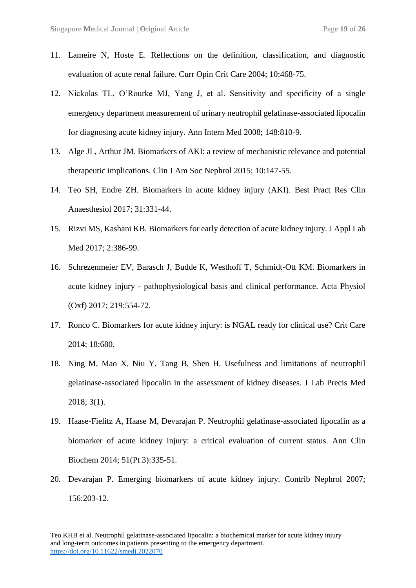- 11. Lameire N, Hoste E. Reflections on the definition, classification, and diagnostic evaluation of acute renal failure. Curr Opin Crit Care 2004; 10:468-75.
- 12. Nickolas TL, O'Rourke MJ, Yang J, et al. Sensitivity and specificity of a single emergency department measurement of urinary neutrophil gelatinase-associated lipocalin for diagnosing acute kidney injury. Ann Intern Med 2008; 148:810-9.
- 13. Alge JL, Arthur JM. Biomarkers of AKI: a review of mechanistic relevance and potential therapeutic implications. Clin J Am Soc Nephrol 2015; 10:147-55.
- 14. Teo SH, Endre ZH. Biomarkers in acute kidney injury (AKI). Best Pract Res Clin Anaesthesiol 2017; 31:331-44.
- 15. Rizvi MS, Kashani KB. Biomarkers for early detection of acute kidney injury. J Appl Lab Med 2017; 2:386-99.
- 16. Schrezenmeier EV, Barasch J, Budde K, Westhoff T, Schmidt-Ott KM. Biomarkers in acute kidney injury - pathophysiological basis and clinical performance. Acta Physiol (Oxf) 2017; 219:554-72.
- 17. Ronco C. Biomarkers for acute kidney injury: is NGAL ready for clinical use? Crit Care 2014; 18:680.
- 18. Ning M, Mao X, Niu Y, Tang B, Shen H. Usefulness and limitations of neutrophil gelatinase-associated lipocalin in the assessment of kidney diseases. J Lab Precis Med 2018; 3(1).
- 19. Haase-Fielitz A, Haase M, Devarajan P. Neutrophil gelatinase-associated lipocalin as a biomarker of acute kidney injury: a critical evaluation of current status. Ann Clin Biochem 2014; 51(Pt 3):335-51.
- 20. Devarajan P. Emerging biomarkers of acute kidney injury. Contrib Nephrol 2007; 156:203-12.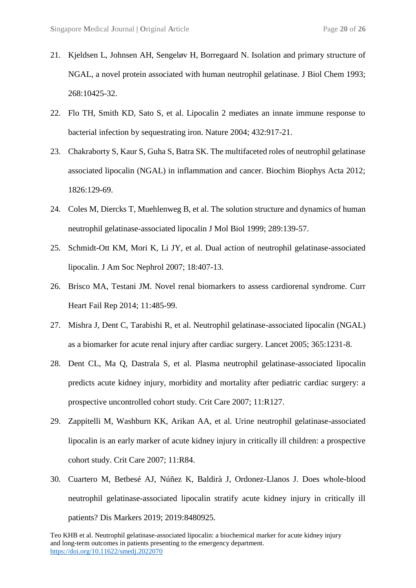- 21. Kjeldsen L, Johnsen AH, Sengeløv H, Borregaard N. Isolation and primary structure of NGAL, a novel protein associated with human neutrophil gelatinase. J Biol Chem 1993; 268:10425-32.
- 22. Flo TH, Smith KD, Sato S, et al. Lipocalin 2 mediates an innate immune response to bacterial infection by sequestrating iron. Nature 2004; 432:917-21.
- 23. Chakraborty S, Kaur S, Guha S, Batra SK. The multifaceted roles of neutrophil gelatinase associated lipocalin (NGAL) in inflammation and cancer. Biochim Biophys Acta 2012; 1826:129-69.
- 24. Coles M, Diercks T, Muehlenweg B, et al. The solution structure and dynamics of human neutrophil gelatinase-associated lipocalin J Mol Biol 1999; 289:139-57.
- 25. Schmidt-Ott KM, Mori K, Li JY, et al. Dual action of neutrophil gelatinase-associated lipocalin. J Am Soc Nephrol 2007; 18:407-13.
- 26. Brisco MA, Testani JM. Novel renal biomarkers to assess cardiorenal syndrome. Curr Heart Fail Rep 2014; 11:485-99.
- 27. Mishra J, Dent C, Tarabishi R, et al. Neutrophil gelatinase-associated lipocalin (NGAL) as a biomarker for acute renal injury after cardiac surgery. Lancet 2005; 365:1231-8.
- 28. Dent CL, Ma Q, Dastrala S, et al. Plasma neutrophil gelatinase-associated lipocalin predicts acute kidney injury, morbidity and mortality after pediatric cardiac surgery: a prospective uncontrolled cohort study. Crit Care 2007; 11:R127.
- 29. Zappitelli M, Washburn KK, Arikan AA, et al. Urine neutrophil gelatinase-associated lipocalin is an early marker of acute kidney injury in critically ill children: a prospective cohort study. Crit Care 2007; 11:R84.
- 30. Cuartero M, Betbesé AJ, Núñez K, Baldirà J, Ordonez-Llanos J. Does whole-blood neutrophil gelatinase-associated lipocalin stratify acute kidney injury in critically ill patients? Dis Markers 2019; 2019[:8480925.](http://www.ncbi.nlm.nih.gov/pubmed/8480925)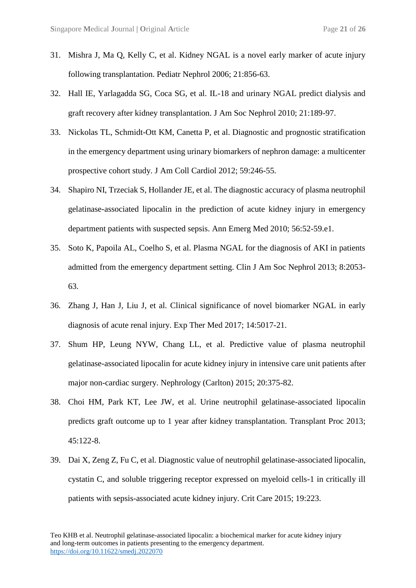- 31. Mishra J, Ma Q, Kelly C, et al. Kidney NGAL is a novel early marker of acute injury following transplantation. Pediatr Nephrol 2006; 21:856-63.
- 32. Hall IE, Yarlagadda SG, Coca SG, et al. IL-18 and urinary NGAL predict dialysis and graft recovery after kidney transplantation. J Am Soc Nephrol 2010; 21:189-97.
- 33. Nickolas TL, Schmidt-Ott KM, Canetta P, et al. Diagnostic and prognostic stratification in the emergency department using urinary biomarkers of nephron damage: a multicenter prospective cohort study. J Am Coll Cardiol 2012; 59:246-55.
- 34. Shapiro NI, Trzeciak S, Hollander JE, et al. The diagnostic accuracy of plasma neutrophil gelatinase-associated lipocalin in the prediction of acute kidney injury in emergency department patients with suspected sepsis. Ann Emerg Med 2010; 56:52-59.e1.
- 35. Soto K, Papoila AL, Coelho S, et al. Plasma NGAL for the diagnosis of AKI in patients admitted from the emergency department setting. Clin J Am Soc Nephrol 2013; 8:2053- 63.
- 36. Zhang J, Han J, Liu J, et al. Clinical significance of novel biomarker NGAL in early diagnosis of acute renal injury. Exp Ther Med 2017; 14:5017-21.
- 37. Shum HP, Leung NYW, Chang LL, et al. Predictive value of plasma neutrophil gelatinase-associated lipocalin for acute kidney injury in intensive care unit patients after major non-cardiac surgery. Nephrology (Carlton) 2015; 20:375-82.
- 38. Choi HM, Park KT, Lee JW, et al. Urine neutrophil gelatinase-associated lipocalin predicts graft outcome up to 1 year after kidney transplantation. Transplant Proc 2013; 45:122-8.
- 39. Dai X, Zeng Z, Fu C, et al. Diagnostic value of neutrophil gelatinase-associated lipocalin, cystatin C, and soluble triggering receptor expressed on myeloid cells-1 in critically ill patients with sepsis-associated acute kidney injury. Crit Care 2015; 19:223.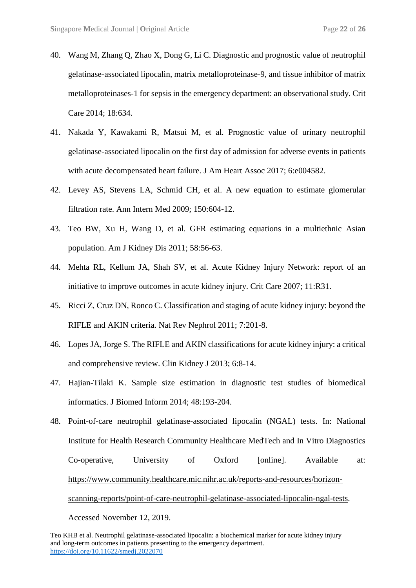- 40. Wang M, Zhang Q, Zhao X, Dong G, Li C. Diagnostic and prognostic value of neutrophil gelatinase-associated lipocalin, matrix metalloproteinase-9, and tissue inhibitor of matrix metalloproteinases-1 for sepsis in the emergency department: an observational study. Crit Care 2014; 18:634.
- 41. Nakada Y, Kawakami R, Matsui M, et al. Prognostic value of urinary neutrophil gelatinase-associated lipocalin on the first day of admission for adverse events in patients with acute decompensated heart failure. J Am Heart Assoc 2017; 6:e004582.
- 42. Levey AS, Stevens LA, Schmid CH, et al. A new equation to estimate glomerular filtration rate. Ann Intern Med 2009; 150:604-12.
- 43. Teo BW, Xu H, Wang D, et al. GFR estimating equations in a multiethnic Asian population. Am J Kidney Dis 2011; 58:56-63.
- 44. Mehta RL, Kellum JA, Shah SV, et al. Acute Kidney Injury Network: report of an initiative to improve outcomes in acute kidney injury. Crit Care 2007; 11:R31.
- 45. Ricci Z, Cruz DN, Ronco C. Classification and staging of acute kidney injury: beyond the RIFLE and AKIN criteria. Nat Rev Nephrol 2011; 7:201-8.
- 46. Lopes JA, Jorge S. The RIFLE and AKIN classifications for acute kidney injury: a critical and comprehensive review. Clin Kidney J 2013; 6:8-14.
- 47. Hajian-Tilaki K. Sample size estimation in diagnostic test studies of biomedical informatics. J Biomed Inform 2014; 48:193-204.

Accessed November 12, 2019.

<sup>48.</sup> Point-of-care neutrophil gelatinase-associated lipocalin (NGAL) tests. In: National Institute for Health Research Community Healthcare MedTech and In Vitro Diagnostics Co-operative, University of Oxford [online]. Available at: [https://www.community.healthcare.mic.nihr.ac.uk/reports-and-resources/horizon](https://www.community.healthcare.mic.nihr.ac.uk/reports-and-resources/horizon-scanning-reports/point-of-care-neutrophil-gelatinase-associated-lipocalin-ngal-tests)[scanning-reports/point-of-care-neutrophil-gelatinase-associated-lipocalin-ngal-tests.](https://www.community.healthcare.mic.nihr.ac.uk/reports-and-resources/horizon-scanning-reports/point-of-care-neutrophil-gelatinase-associated-lipocalin-ngal-tests)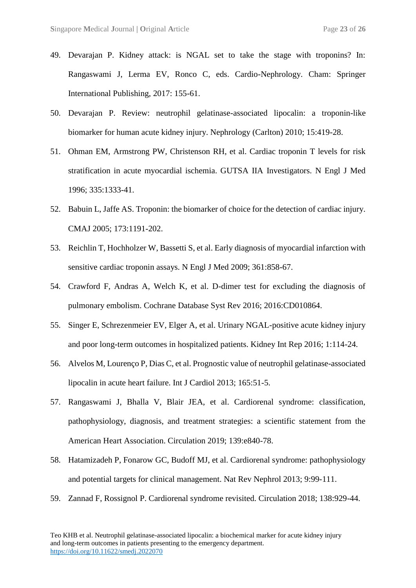- 49. Devarajan P. Kidney attack: is NGAL set to take the stage with troponins? In: Rangaswami J, Lerma EV, Ronco C, eds. Cardio-Nephrology. Cham: Springer International Publishing, 2017: 155-61.
- 50. Devarajan P. Review: neutrophil gelatinase-associated lipocalin: a troponin-like biomarker for human acute kidney injury. Nephrology (Carlton) 2010; 15:419-28.
- 51. Ohman EM, Armstrong PW, Christenson RH, et al. Cardiac troponin T levels for risk stratification in acute myocardial ischemia. GUTSA IIA Investigators. N Engl J Med 1996; 335:1333-41.
- 52. Babuin L, Jaffe AS. Troponin: the biomarker of choice for the detection of cardiac injury. CMAJ 2005; 173:1191-202.
- 53. Reichlin T, Hochholzer W, Bassetti S, et al. Early diagnosis of myocardial infarction with sensitive cardiac troponin assays. N Engl J Med 2009; 361:858-67.
- 54. Crawford F, Andras A, Welch K, et al. D-dimer test for excluding the diagnosis of pulmonary embolism. Cochrane Database Syst Rev 2016; 2016:CD010864.
- 55. Singer E, Schrezenmeier EV, Elger A, et al. Urinary NGAL-positive acute kidney injury and poor long-term outcomes in hospitalized patients. Kidney Int Rep 2016; 1:114-24.
- 56. Alvelos M, Lourenço P, Dias C, et al. Prognostic value of neutrophil gelatinase-associated lipocalin in acute heart failure. Int J Cardiol 2013; 165:51-5.
- 57. Rangaswami J, Bhalla V, Blair JEA, et al. Cardiorenal syndrome: classification, pathophysiology, diagnosis, and treatment strategies: a scientific statement from the American Heart Association. Circulation 2019; 139:e840-78.
- 58. Hatamizadeh P, Fonarow GC, Budoff MJ, et al. Cardiorenal syndrome: pathophysiology and potential targets for clinical management. Nat Rev Nephrol 2013; 9:99-111.
- 59. Zannad F, Rossignol P. Cardiorenal syndrome revisited. Circulation 2018; 138:929-44.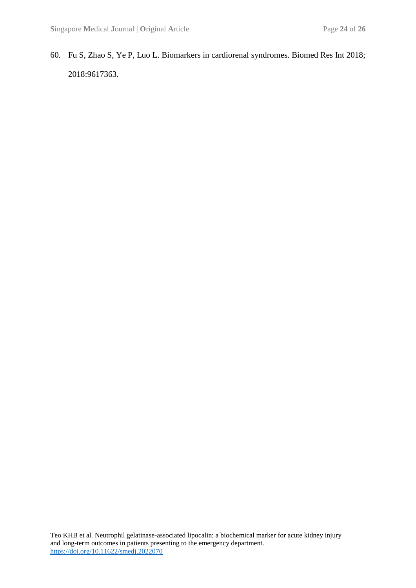60. Fu S, Zhao S, Ye P, Luo L. Biomarkers in cardiorenal syndromes. Biomed Res Int 2018; 2018[:9617363.](http://www.ncbi.nlm.nih.gov/pubmed/9617363)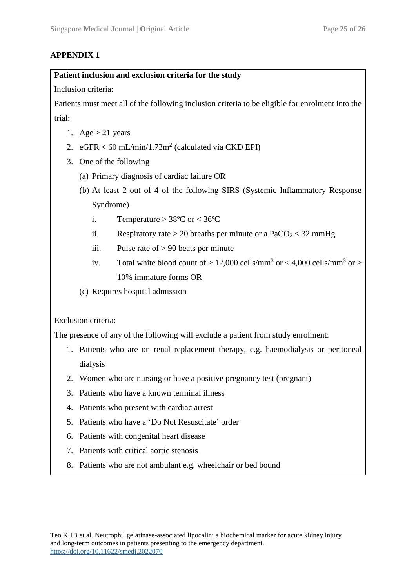## **APPENDIX 1**

### **Patient inclusion and exclusion criteria for the study**

Inclusion criteria:

Patients must meet all of the following inclusion criteria to be eligible for enrolment into the trial:

- 1. Age  $> 21$  years
- 2.  $eGFR < 60 \text{ mL/min}/1.73 \text{m}^2$  (calculated via CKD EPI)
- 3. One of the following
	- (a) Primary diagnosis of cardiac failure OR
	- (b) At least 2 out of 4 of the following SIRS (Systemic Inflammatory Response Syndrome)
		- i. Temperature  $> 38^{\circ}$ C or  $< 36^{\circ}$ C
		- ii. Respiratory rate  $> 20$  breaths per minute or a PaCO<sub>2</sub>  $< 32$  mmHg
		- iii. Pulse rate of  $> 90$  beats per minute
		- iv. Total white blood count of  $> 12,000$  cells/mm<sup>3</sup> or  $< 4,000$  cells/mm<sup>3</sup> or  $>$ 10% immature forms OR
	- (c) Requires hospital admission

Exclusion criteria:

The presence of any of the following will exclude a patient from study enrolment:

- 1. Patients who are on renal replacement therapy, e.g. haemodialysis or peritoneal dialysis
- 2. Women who are nursing or have a positive pregnancy test (pregnant)
- 3. Patients who have a known terminal illness
- 4. Patients who present with cardiac arrest
- 5. Patients who have a 'Do Not Resuscitate' order
- 6. Patients with congenital heart disease
- 7. Patients with critical aortic stenosis
- 8. Patients who are not ambulant e.g. wheelchair or bed bound